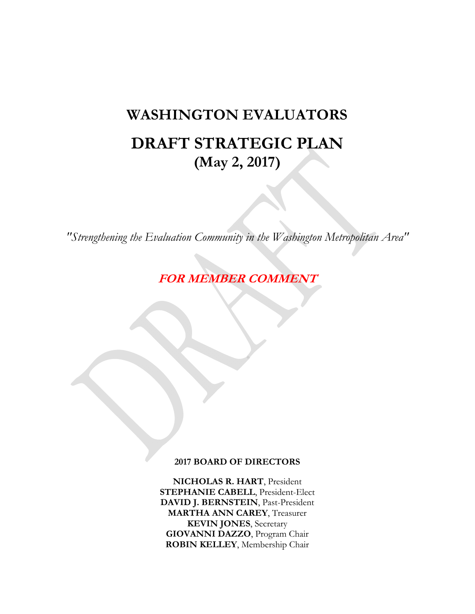# **WASHINGTON EVALUATORS DRAFT STRATEGIC PLAN (May 2, 2017)**

*"Strengthening the Evaluation Community in the Washington Metropolitan Area"* 

**FOR MEMBER COMMENT** 

#### **2017 BOARD OF DIRECTORS**

**NICHOLAS R. HART**, President **STEPHANIE CABELL**, President-Elect **DAVID J. BERNSTEIN**, Past-President **MARTHA ANN CAREY**, Treasurer **KEVIN JONES**, Secretary **GIOVANNI DAZZO**, Program Chair **ROBIN KELLEY**, Membership Chair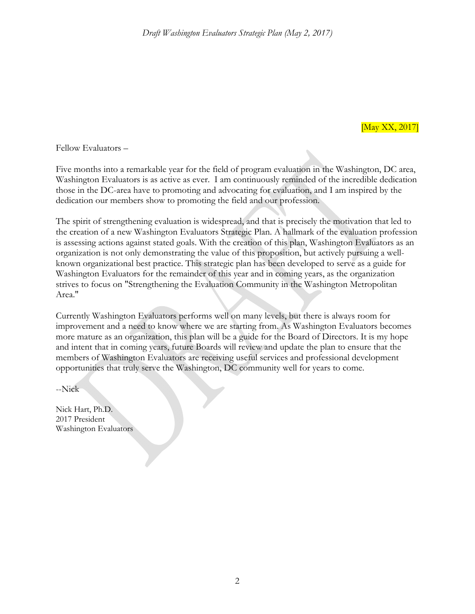[May XX, 2017]

Fellow Evaluators –

Five months into a remarkable year for the field of program evaluation in the Washington, DC area, Washington Evaluators is as active as ever. I am continuously reminded of the incredible dedication those in the DC-area have to promoting and advocating for evaluation, and I am inspired by the dedication our members show to promoting the field and our profession.

The spirit of strengthening evaluation is widespread, and that is precisely the motivation that led to the creation of a new Washington Evaluators Strategic Plan. A hallmark of the evaluation profession is assessing actions against stated goals. With the creation of this plan, Washington Evaluators as an organization is not only demonstrating the value of this proposition, but actively pursuing a wellknown organizational best practice. This strategic plan has been developed to serve as a guide for Washington Evaluators for the remainder of this year and in coming years, as the organization strives to focus on "Strengthening the Evaluation Community in the Washington Metropolitan Area."

Currently Washington Evaluators performs well on many levels, but there is always room for improvement and a need to know where we are starting from. As Washington Evaluators becomes more mature as an organization, this plan will be a guide for the Board of Directors. It is my hope and intent that in coming years, future Boards will review and update the plan to ensure that the members of Washington Evaluators are receiving useful services and professional development opportunities that truly serve the Washington, DC community well for years to come.

--Nick

Nick Hart, Ph.D. 2017 President Washington Evaluators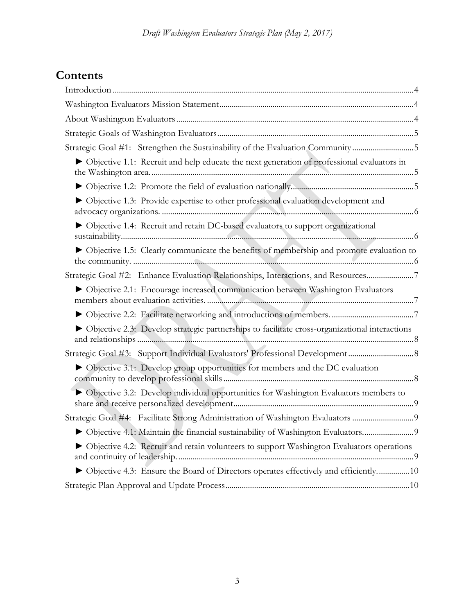# **Contents**

| Strategic Goal #1: Strengthen the Sustainability of the Evaluation Community5                 |
|-----------------------------------------------------------------------------------------------|
| • Objective 1.1: Recruit and help educate the next generation of professional evaluators in   |
|                                                                                               |
| • Objective 1.3: Provide expertise to other professional evaluation development and           |
| ▶ Objective 1.4: Recruit and retain DC-based evaluators to support organizational             |
| • Objective 1.5: Clearly communicate the benefits of membership and promote evaluation to     |
| Strategic Goal #2: Enhance Evaluation Relationships, Interactions, and Resources7             |
| • Objective 2.1: Encourage increased communication between Washington Evaluators              |
|                                                                                               |
| Objective 2.3: Develop strategic partnerships to facilitate cross-organizational interactions |
|                                                                                               |
| Objective 3.1: Develop group opportunities for members and the DC evaluation                  |
| • Objective 3.2: Develop individual opportunities for Washington Evaluators members to        |
| Strategic Goal #4: Facilitate Strong Administration of Washington Evaluators                  |
|                                                                                               |
| Objective 4.2: Recruit and retain volunteers to support Washington Evaluators operations      |
| • Objective 4.3: Ensure the Board of Directors operates effectively and efficiently10         |
|                                                                                               |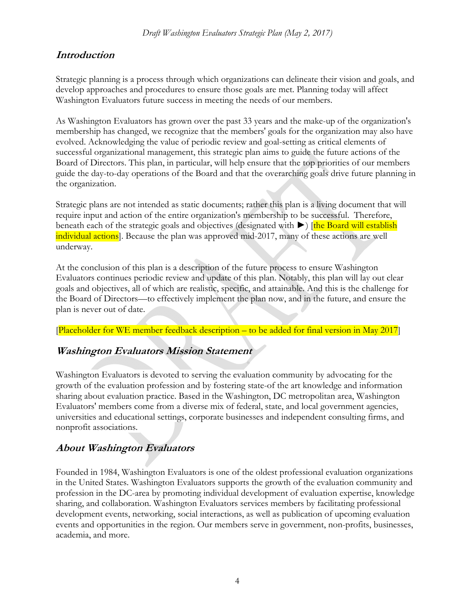# **Introduction**

Strategic planning is a process through which organizations can delineate their vision and goals, and develop approaches and procedures to ensure those goals are met. Planning today will affect Washington Evaluators future success in meeting the needs of our members.

As Washington Evaluators has grown over the past 33 years and the make-up of the organization's membership has changed, we recognize that the members' goals for the organization may also have evolved. Acknowledging the value of periodic review and goal-setting as critical elements of successful organizational management, this strategic plan aims to guide the future actions of the Board of Directors. This plan, in particular, will help ensure that the top priorities of our members guide the day-to-day operations of the Board and that the overarching goals drive future planning in the organization.

Strategic plans are not intended as static documents; rather this plan is a living document that will require input and action of the entire organization's membership to be successful. Therefore, beneath each of the strategic goals and objectives (designated with ►) [the Board will establish individual actions. Because the plan was approved mid-2017, many of these actions are well underway.

At the conclusion of this plan is a description of the future process to ensure Washington Evaluators continues periodic review and update of this plan. Notably, this plan will lay out clear goals and objectives, all of which are realistic, specific, and attainable. And this is the challenge for the Board of Directors—to effectively implement the plan now, and in the future, and ensure the plan is never out of date.

[Placeholder for WE member feedback description – to be added for final version in May 2017]

# **Washington Evaluators Mission Statement**

Washington Evaluators is devoted to serving the evaluation community by advocating for the growth of the evaluation profession and by fostering state-of the art knowledge and information sharing about evaluation practice. Based in the Washington, DC metropolitan area, Washington Evaluators' members come from a diverse mix of federal, state, and local government agencies, universities and educational settings, corporate businesses and independent consulting firms, and nonprofit associations.

# **About Washington Evaluators**

Founded in 1984, Washington Evaluators is one of the oldest professional evaluation organizations in the United States. Washington Evaluators supports the growth of the evaluation community and profession in the DC-area by promoting individual development of evaluation expertise, knowledge sharing, and collaboration. Washington Evaluators services members by facilitating professional development events, networking, social interactions, as well as publication of upcoming evaluation events and opportunities in the region. Our members serve in government, non-profits, businesses, academia, and more.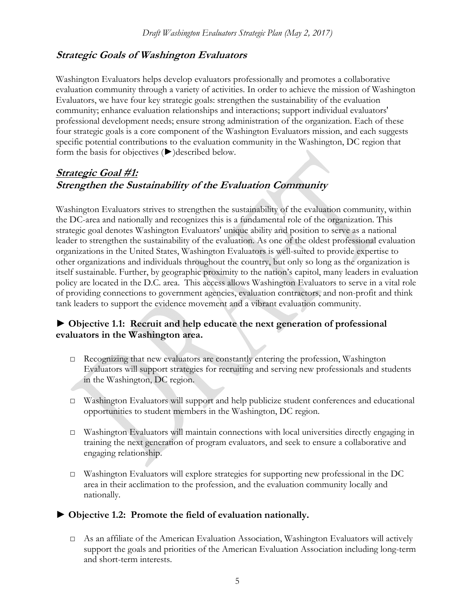### **Strategic Goals of Washington Evaluators**

Washington Evaluators helps develop evaluators professionally and promotes a collaborative evaluation community through a variety of activities. In order to achieve the mission of Washington Evaluators, we have four key strategic goals: strengthen the sustainability of the evaluation community; enhance evaluation relationships and interactions; support individual evaluators' professional development needs; ensure strong administration of the organization. Each of these four strategic goals is a core component of the Washington Evaluators mission, and each suggests specific potential contributions to the evaluation community in the Washington, DC region that form the basis for objectives (►)described below.

# **Strategic Goal #1: Strengthen the Sustainability of the Evaluation Community**

Washington Evaluators strives to strengthen the sustainability of the evaluation community, within the DC-area and nationally and recognizes this is a fundamental role of the organization. This strategic goal denotes Washington Evaluators' unique ability and position to serve as a national leader to strengthen the sustainability of the evaluation. As one of the oldest professional evaluation organizations in the United States, Washington Evaluators is well-suited to provide expertise to other organizations and individuals throughout the country, but only so long as the organization is itself sustainable. Further, by geographic proximity to the nation's capitol, many leaders in evaluation policy are located in the D.C. area. This access allows Washington Evaluators to serve in a vital role of providing connections to government agencies, evaluation contractors, and non-profit and think tank leaders to support the evidence movement and a vibrant evaluation community.

#### **► Objective 1.1: Recruit and help educate the next generation of professional evaluators in the Washington area.**

- $\Box$  Recognizing that new evaluators are constantly entering the profession, Washington Evaluators will support strategies for recruiting and serving new professionals and students in the Washington, DC region.
- □ Washington Evaluators will support and help publicize student conferences and educational opportunities to student members in the Washington, DC region.
- □ Washington Evaluators will maintain connections with local universities directly engaging in training the next generation of program evaluators, and seek to ensure a collaborative and engaging relationship.
- $\Box$  Washington Evaluators will explore strategies for supporting new professional in the DC area in their acclimation to the profession, and the evaluation community locally and nationally.

#### **► Objective 1.2: Promote the field of evaluation nationally.**

 $\Box$  As an affiliate of the American Evaluation Association, Washington Evaluators will actively support the goals and priorities of the American Evaluation Association including long-term and short-term interests.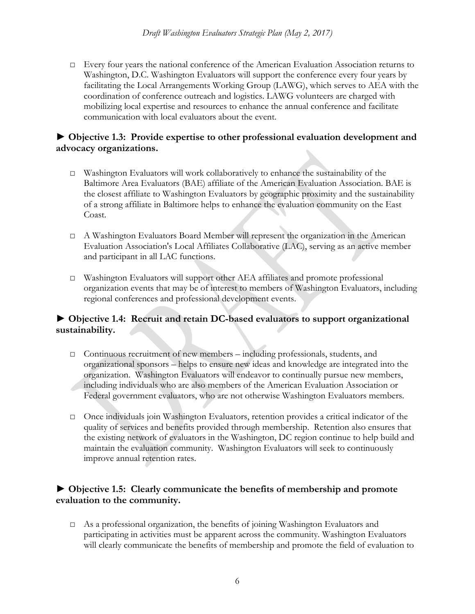□ Every four years the national conference of the American Evaluation Association returns to Washington, D.C. Washington Evaluators will support the conference every four years by facilitating the Local Arrangements Working Group (LAWG), which serves to AEA with the coordination of conference outreach and logistics. LAWG volunteers are charged with mobilizing local expertise and resources to enhance the annual conference and facilitate communication with local evaluators about the event.

#### **► Objective 1.3: Provide expertise to other professional evaluation development and advocacy organizations.**

- □ Washington Evaluators will work collaboratively to enhance the sustainability of the Baltimore Area Evaluators (BAE) affiliate of the American Evaluation Association. BAE is the closest affiliate to Washington Evaluators by geographic proximity and the sustainability of a strong affiliate in Baltimore helps to enhance the evaluation community on the East Coast.
- □ A Washington Evaluators Board Member will represent the organization in the American Evaluation Association's Local Affiliates Collaborative (LAC), serving as an active member and participant in all LAC functions.
- □ Washington Evaluators will support other AEA affiliates and promote professional organization events that may be of interest to members of Washington Evaluators, including regional conferences and professional development events.

#### **► Objective 1.4: Recruit and retain DC-based evaluators to support organizational sustainability.**

- □ Continuous recruitment of new members including professionals, students, and organizational sponsors – helps to ensure new ideas and knowledge are integrated into the organization. Washington Evaluators will endeavor to continually pursue new members, including individuals who are also members of the American Evaluation Association or Federal government evaluators, who are not otherwise Washington Evaluators members.
- □ Once individuals join Washington Evaluators, retention provides a critical indicator of the quality of services and benefits provided through membership. Retention also ensures that the existing network of evaluators in the Washington, DC region continue to help build and maintain the evaluation community. Washington Evaluators will seek to continuously improve annual retention rates.

#### **► Objective 1.5: Clearly communicate the benefits of membership and promote evaluation to the community.**

□ As a professional organization, the benefits of joining Washington Evaluators and participating in activities must be apparent across the community. Washington Evaluators will clearly communicate the benefits of membership and promote the field of evaluation to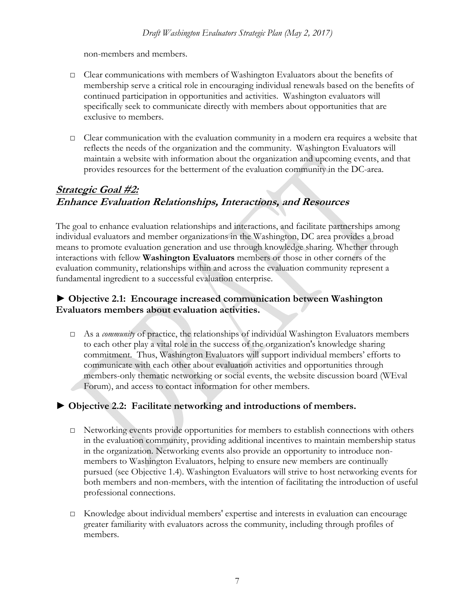non-members and members.

- □ Clear communications with members of Washington Evaluators about the benefits of membership serve a critical role in encouraging individual renewals based on the benefits of continued participation in opportunities and activities. Washington evaluators will specifically seek to communicate directly with members about opportunities that are exclusive to members.
- □ Clear communication with the evaluation community in a modern era requires a website that reflects the needs of the organization and the community. Washington Evaluators will maintain a website with information about the organization and upcoming events, and that provides resources for the betterment of the evaluation community in the DC-area.

## **Strategic Goal #2: Enhance Evaluation Relationships, Interactions, and Resources**

The goal to enhance evaluation relationships and interactions, and facilitate partnerships among individual evaluators and member organizations in the Washington, DC area provides a broad means to promote evaluation generation and use through knowledge sharing. Whether through interactions with fellow **Washington Evaluators** members or those in other corners of the evaluation community, relationships within and across the evaluation community represent a fundamental ingredient to a successful evaluation enterprise.

#### **► Objective 2.1: Encourage increased communication between Washington Evaluators members about evaluation activities.**

□ As a *community* of practice, the relationships of individual Washington Evaluators members to each other play a vital role in the success of the organization's knowledge sharing commitment. Thus, Washington Evaluators will support individual members' efforts to communicate with each other about evaluation activities and opportunities through members-only thematic networking or social events, the website discussion board (WEval Forum), and access to contact information for other members.

#### **► Objective 2.2: Facilitate networking and introductions of members.**

- □ Networking events provide opportunities for members to establish connections with others in the evaluation community, providing additional incentives to maintain membership status in the organization. Networking events also provide an opportunity to introduce nonmembers to Washington Evaluators, helping to ensure new members are continually pursued (see Objective 1.4). Washington Evaluators will strive to host networking events for both members and non-members, with the intention of facilitating the introduction of useful professional connections.
- □ Knowledge about individual members' expertise and interests in evaluation can encourage greater familiarity with evaluators across the community, including through profiles of members.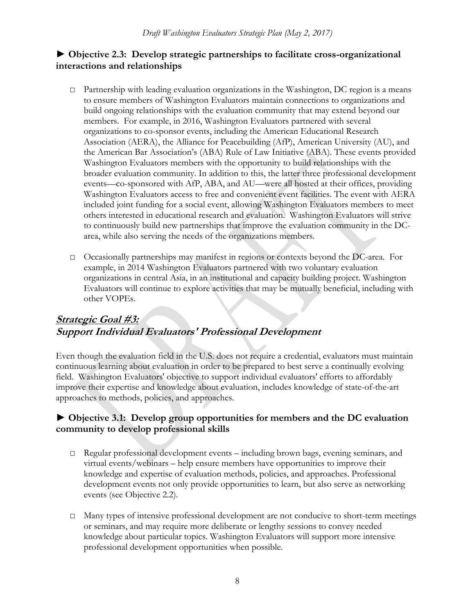#### **► Objective 2.3: Develop strategic partnerships to facilitate cross-organizational interactions and relationships**

- □ Partnership with leading evaluation organizations in the Washington, DC region is a means to ensure members of Washington Evaluators maintain connections to organizations and build ongoing relationships with the evaluation community that may extend beyond our members. For example, in 2016, Washington Evaluators partnered with several organizations to co-sponsor events, including the American Educational Research Association (AERA), the Alliance for Peacebuilding (AfP), American University (AU), and the American Bar Association's (ABA) Rule of Law Initiative (ABA). These events provided Washington Evaluators members with the opportunity to build relationships with the broader evaluation community. In addition to this, the latter three professional development events—co-sponsored with AfP, ABA, and AU—were all hosted at their offices, providing Washington Evaluators access to free and convenient event facilities. The event with AERA included joint funding for a social event, allowing Washington Evaluators members to meet others interested in educational research and evaluation. Washington Evaluators will strive to continuously build new partnerships that improve the evaluation community in the DCarea, while also serving the needs of the organizations members.
- $\Box$  Occasionally partnerships may manifest in regions or contexts beyond the DC-area. For example, in 2014 Washington Evaluators partnered with two voluntary evaluation organizations in central Asia, in an institutional and capacity building project. Washington Evaluators will continue to explore activities that may be mutually beneficial, including with other VOPEs.

# **Strategic Goal #3: Support Individual Evaluators' Professional Development**

Even though the evaluation field in the U.S. does not require a credential, evaluators must maintain continuous learning about evaluation in order to be prepared to best serve a continually evolving field. Washington Evaluators' objective to support individual evaluators' efforts to affordably improve their expertise and knowledge about evaluation, includes knowledge of state-of-the-art approaches to methods, policies, and approaches.

#### **► Objective 3.1: Develop group opportunities for members and the DC evaluation community to develop professional skills**

- □ Regular professional development events including brown bags, evening seminars, and virtual events/webinars – help ensure members have opportunities to improve their knowledge and expertise of evaluation methods, policies, and approaches. Professional development events not only provide opportunities to learn, but also serve as networking events (see Objective 2.2).
- □ Many types of intensive professional development are not conducive to short-term meetings or seminars, and may require more deliberate or lengthy sessions to convey needed knowledge about particular topics. Washington Evaluators will support more intensive professional development opportunities when possible.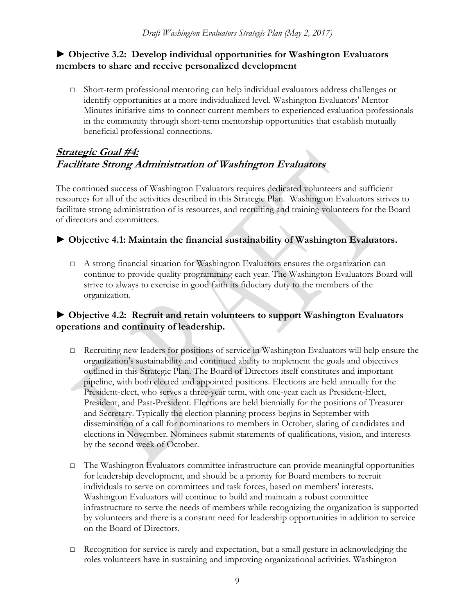#### **► Objective 3.2: Develop individual opportunities for Washington Evaluators members to share and receive personalized development**

□ Short-term professional mentoring can help individual evaluators address challenges or identify opportunities at a more individualized level. Washington Evaluators' Mentor Minutes initiative aims to connect current members to experienced evaluation professionals in the community through short-term mentorship opportunities that establish mutually beneficial professional connections.

# **Strategic Goal #4: Facilitate Strong Administration of Washington Evaluators**

The continued success of Washington Evaluators requires dedicated volunteers and sufficient resources for all of the activities described in this Strategic Plan. Washington Evaluators strives to facilitate strong administration of is resources, and recruiting and training volunteers for the Board of directors and committees.

#### **► Objective 4.1: Maintain the financial sustainability of Washington Evaluators.**

□ A strong financial situation for Washington Evaluators ensures the organization can continue to provide quality programming each year. The Washington Evaluators Board will strive to always to exercise in good faith its fiduciary duty to the members of the organization.

#### **► Objective 4.2: Recruit and retain volunteers to support Washington Evaluators operations and continuity of leadership.**

- □ Recruiting new leaders for positions of service in Washington Evaluators will help ensure the organization's sustainability and continued ability to implement the goals and objectives outlined in this Strategic Plan. The Board of Directors itself constitutes and important pipeline, with both elected and appointed positions. Elections are held annually for the President-elect, who serves a three-year term, with one-year each as President-Elect, President, and Past-President. Elections are held biennially for the positions of Treasurer and Secretary. Typically the election planning process begins in September with dissemination of a call for nominations to members in October, slating of candidates and elections in November. Nominees submit statements of qualifications, vision, and interests by the second week of October.
- $\Box$  The Washington Evaluators committee infrastructure can provide meaningful opportunities for leadership development, and should be a priority for Board members to recruit individuals to serve on committees and task forces, based on members' interests. Washington Evaluators will continue to build and maintain a robust committee infrastructure to serve the needs of members while recognizing the organization is supported by volunteers and there is a constant need for leadership opportunities in addition to service on the Board of Directors.
- $\Box$  Recognition for service is rarely and expectation, but a small gesture in acknowledging the roles volunteers have in sustaining and improving organizational activities. Washington